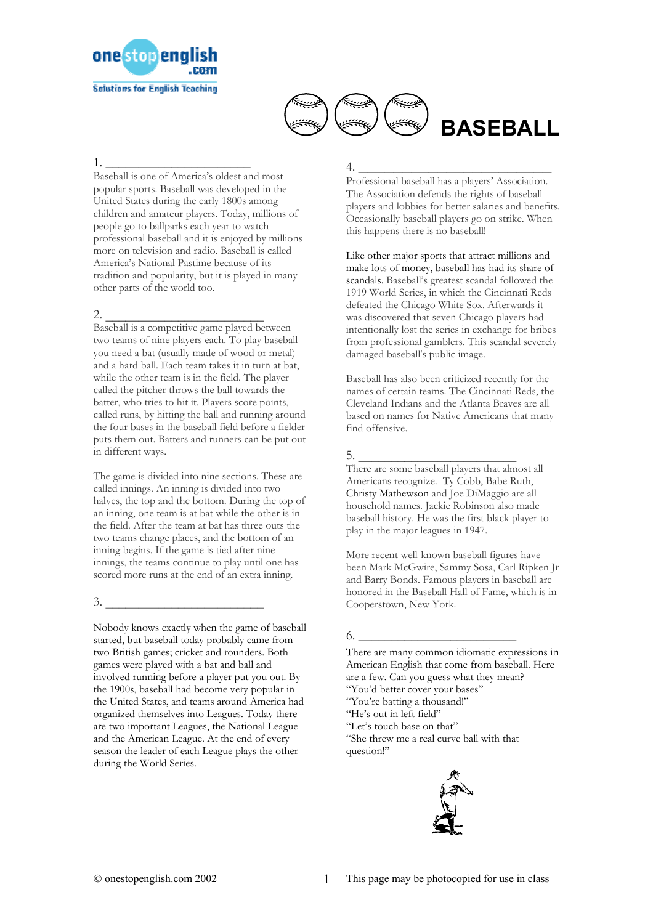



1. \_\_\_\_\_\_\_\_\_\_\_\_\_\_\_\_\_\_\_\_\_\_

Baseball is one of America's oldest and most popular sports. Baseball was developed in the United States during the early 1800s among children and amateur players. Today, millions of people go to ballparks each year to watch professional baseball and it is enjoyed by millions more on television and radio. Baseball is called America's National Pastime because of its tradition and popularity, but it is played in many other parts of the world too.

2. \_\_\_\_\_\_\_\_\_\_\_\_\_\_\_\_\_\_\_\_\_\_\_\_ Baseball is a competitive game played between two teams of nine players each. To play baseball you need a bat (usually made of wood or metal) and a hard ball. Each team takes it in turn at bat, while the other team is in the field. The player called the pitcher throws the ball towards the batter, who tries to hit it. Players score points, called runs, by hitting the ball and running around the four bases in the baseball field before a fielder puts them out. Batters and runners can be put out in different ways.

The game is divided into nine sections. These are called innings. An inning is divided into two halves, the top and the bottom. During the top of an inning, one team is at bat while the other is in the field. After the team at bat has three outs the two teams change places, and the bottom of an inning begins. If the game is tied after nine innings, the teams continue to play until one has scored more runs at the end of an extra inning.

 $3.$   $\overline{\phantom{a}}$ 

Nobody knows exactly when the game of baseball started, but baseball today probably came from two British games; cricket and rounders. Both games were played with a bat and ball and involved running before a player put you out. By the 1900s, baseball had become very popular in the United States, and teams around America had organized themselves into Leagues. Today there are two important Leagues, the National League and the American League. At the end of every season the leader of each League plays the other during the World Series.

## 4. \_\_\_\_\_\_\_\_\_\_\_\_\_\_\_\_\_\_\_\_\_\_

Professional baseball has a players' Association. The Association defends the rights of baseball players and lobbies for better salaries and benefits. Occasionally baseball players go on strike. When this happens there is no baseball!

Like other major sports that attract millions and make lots of money, baseball has had its share of scandals. Baseball's greatest scandal followed the 1919 World Series, in which the Cincinnati Reds defeated the Chicago White Sox. Afterwards it was discovered that seven Chicago players had intentionally lost the series in exchange for bribes from professional gamblers. This scandal severely damaged baseball's public image.

Baseball has also been criticized recently for the names of certain teams. The Cincinnati Reds, the Cleveland Indians and the Atlanta Braves are all based on names for Native Americans that many find offensive.

## 5. \_\_\_\_\_\_\_\_\_\_\_\_\_\_\_\_\_\_\_\_\_\_\_\_

There are some baseball players that almost all Americans recognize. Ty Cobb, Babe Ruth, Christy Mathewson and Joe DiMaggio are all household names. Jackie Robinson also made baseball history. He was the first black player to play in the major leagues in 1947.

More recent well-known baseball figures have been Mark McGwire, Sammy Sosa, Carl Ripken Jr and Barry Bonds. Famous players in baseball are honored in the Baseball Hall of Fame, which is in Cooperstown, New York.

## 6. \_\_\_\_\_\_\_\_\_\_\_\_\_\_\_\_\_\_\_\_\_\_\_\_

There are many common idiomatic expressions in American English that come from baseball. Here are a few. Can you guess what they mean? "You'd better cover your bases" "You're batting a thousand!" "He's out in left field" "Let's touch base on that" "She threw me a real curve ball with that question!"